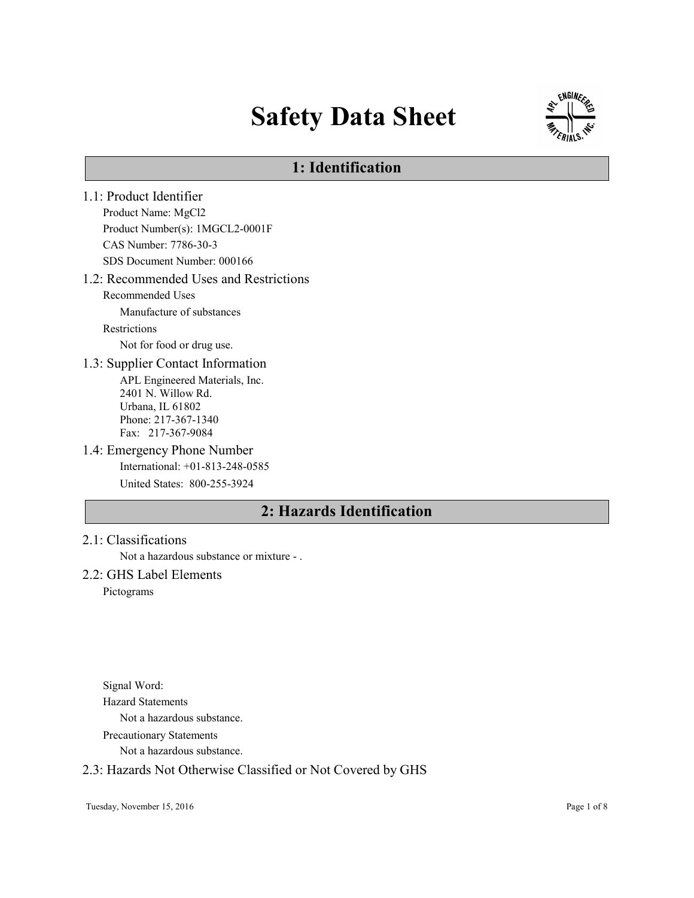# Safety Data Sheet



# 1: Identification

- 1.1: Product Identifier Product Name: MgCl2 Product Number(s): 1MGCL2-0001F CAS Number: 7786-30-3 SDS Document Number: 000166 1.2: Recommended Uses and Restrictions Recommended Uses Manufacture of substances Restrictions Not for food or drug use. 1.3: Supplier Contact Information APL Engineered Materials, Inc. 2401 N. Willow Rd. Urbana, IL 61802 Phone: 217-367-1340 Fax: 217-367-9084 1.4: Emergency Phone Number International: +01-813-248-0585 United States: 800-255-3924 2: Hazards Identification
- 2.1: Classifications

Not a hazardous substance or mixture - .

## 2.2: GHS Label Elements

Pictograms

Signal Word: Hazard Statements Not a hazardous substance. Precautionary Statements

Not a hazardous substance.

## 2.3: Hazards Not Otherwise Classified or Not Covered by GHS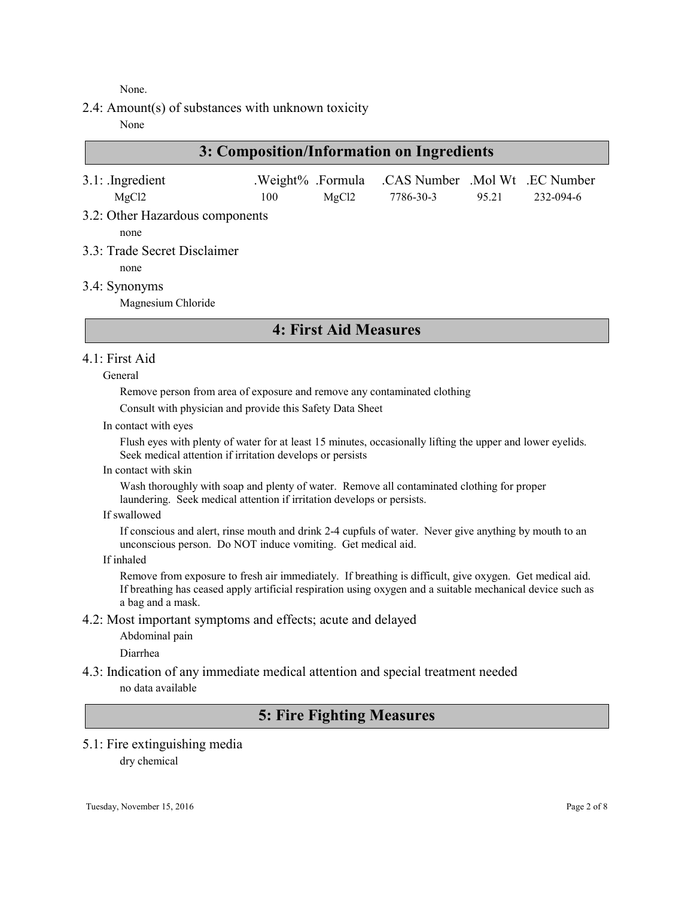None.

2.4: Amount(s) of substances with unknown toxicity

None

# 3: Composition/Information on Ingredients

| $3.1$ : Ingredient<br>MgCl2     | 100 | MgCl2 | .Weight% .Formula .CAS Number .Mol Wt .EC Number<br>7786-30-3 | 95.21 | 232-094-6 |
|---------------------------------|-----|-------|---------------------------------------------------------------|-------|-----------|
| 3.2: Other Hazardous components |     |       |                                                               |       |           |
| none                            |     |       |                                                               |       |           |

- 3.3: Trade Secret Disclaimer
	- none
- 3.4: Synonyms

Magnesium Chloride

## 4: First Aid Measures

## 4.1: First Aid

#### General

Remove person from area of exposure and remove any contaminated clothing

Consult with physician and provide this Safety Data Sheet

In contact with eyes

Flush eyes with plenty of water for at least 15 minutes, occasionally lifting the upper and lower eyelids. Seek medical attention if irritation develops or persists

In contact with skin

Wash thoroughly with soap and plenty of water. Remove all contaminated clothing for proper laundering. Seek medical attention if irritation develops or persists.

If swallowed

If conscious and alert, rinse mouth and drink 2-4 cupfuls of water. Never give anything by mouth to an unconscious person. Do NOT induce vomiting. Get medical aid.

If inhaled

Remove from exposure to fresh air immediately. If breathing is difficult, give oxygen. Get medical aid. If breathing has ceased apply artificial respiration using oxygen and a suitable mechanical device such as a bag and a mask.

4.2: Most important symptoms and effects; acute and delayed

Abdominal pain

Diarrhea

4.3: Indication of any immediate medical attention and special treatment needed no data available

# 5: Fire Fighting Measures

# 5.1: Fire extinguishing media

dry chemical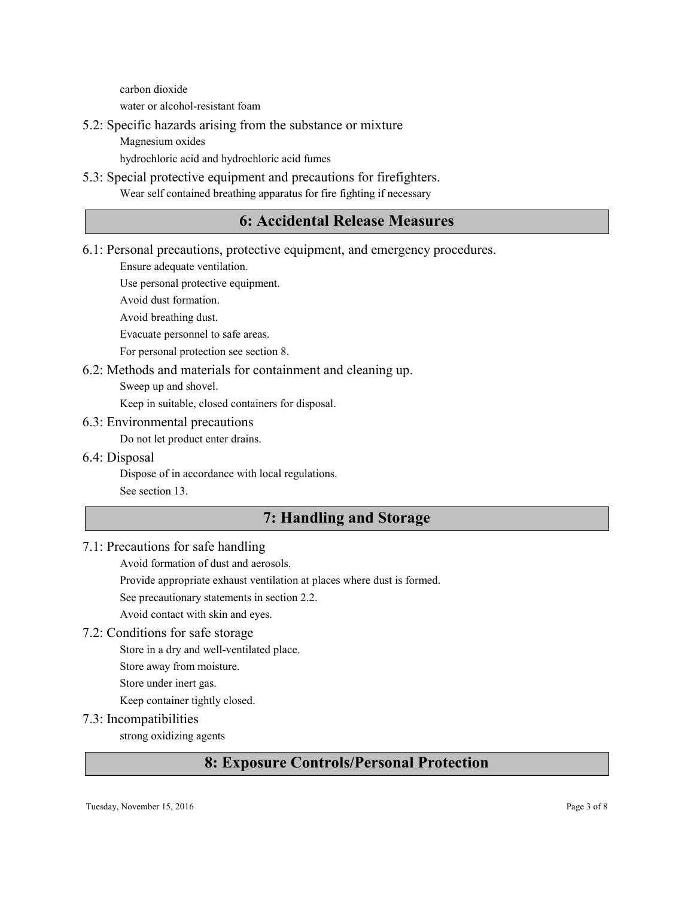carbon dioxide water or alcohol-resistant foam

- 5.2: Specific hazards arising from the substance or mixture
	- Magnesium oxides

hydrochloric acid and hydrochloric acid fumes

5.3: Special protective equipment and precautions for firefighters. Wear self contained breathing apparatus for fire fighting if necessary

# 6: Accidental Release Measures

6.1: Personal precautions, protective equipment, and emergency procedures.

Ensure adequate ventilation.

Use personal protective equipment.

Avoid dust formation.

Avoid breathing dust.

Evacuate personnel to safe areas.

For personal protection see section 8.

## 6.2: Methods and materials for containment and cleaning up.

Sweep up and shovel.

Keep in suitable, closed containers for disposal.

## 6.3: Environmental precautions

Do not let product enter drains.

6.4: Disposal

Dispose of in accordance with local regulations.

See section 13.

# 7: Handling and Storage

## 7.1: Precautions for safe handling

Avoid formation of dust and aerosols.

Provide appropriate exhaust ventilation at places where dust is formed.

See precautionary statements in section 2.2.

Avoid contact with skin and eyes.

## 7.2: Conditions for safe storage

Store in a dry and well-ventilated place.

Store away from moisture.

Store under inert gas.

Keep container tightly closed.

## 7.3: Incompatibilities

strong oxidizing agents

# 8: Exposure Controls/Personal Protection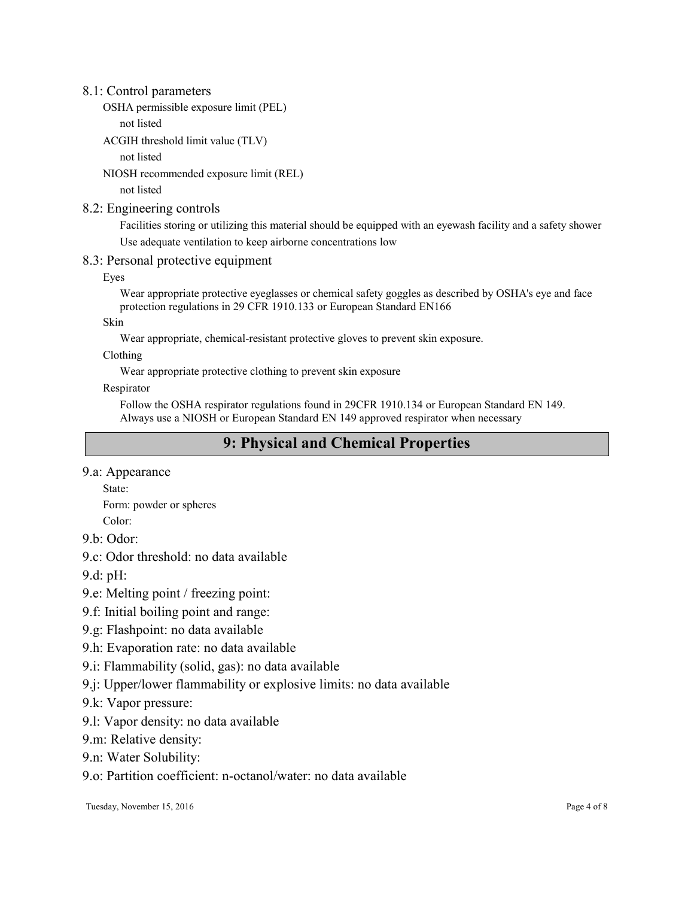## 8.1: Control parameters

```
OSHA permissible exposure limit (PEL)
```
not listed

```
ACGIH threshold limit value (TLV)
```
not listed

NIOSH recommended exposure limit (REL)

not listed

## 8.2: Engineering controls

Facilities storing or utilizing this material should be equipped with an eyewash facility and a safety shower Use adequate ventilation to keep airborne concentrations low

## 8.3: Personal protective equipment

Eyes

Wear appropriate protective eyeglasses or chemical safety goggles as described by OSHA's eye and face protection regulations in 29 CFR 1910.133 or European Standard EN166

Skin

Wear appropriate, chemical-resistant protective gloves to prevent skin exposure.

Clothing

Wear appropriate protective clothing to prevent skin exposure

Respirator

Follow the OSHA respirator regulations found in 29CFR 1910.134 or European Standard EN 149. Always use a NIOSH or European Standard EN 149 approved respirator when necessary

# 9: Physical and Chemical Properties

9.a: Appearance

State: Form: powder or spheres

Color:

9.b: Odor:

9.c: Odor threshold: no data available

9.d: pH:

9.e: Melting point / freezing point:

9.f: Initial boiling point and range:

9.g: Flashpoint: no data available

9.h: Evaporation rate: no data available

9.i: Flammability (solid, gas): no data available

9.j: Upper/lower flammability or explosive limits: no data available

9.k: Vapor pressure:

9.l: Vapor density: no data available

9.m: Relative density:

9.n: Water Solubility:

9.o: Partition coefficient: n-octanol/water: no data available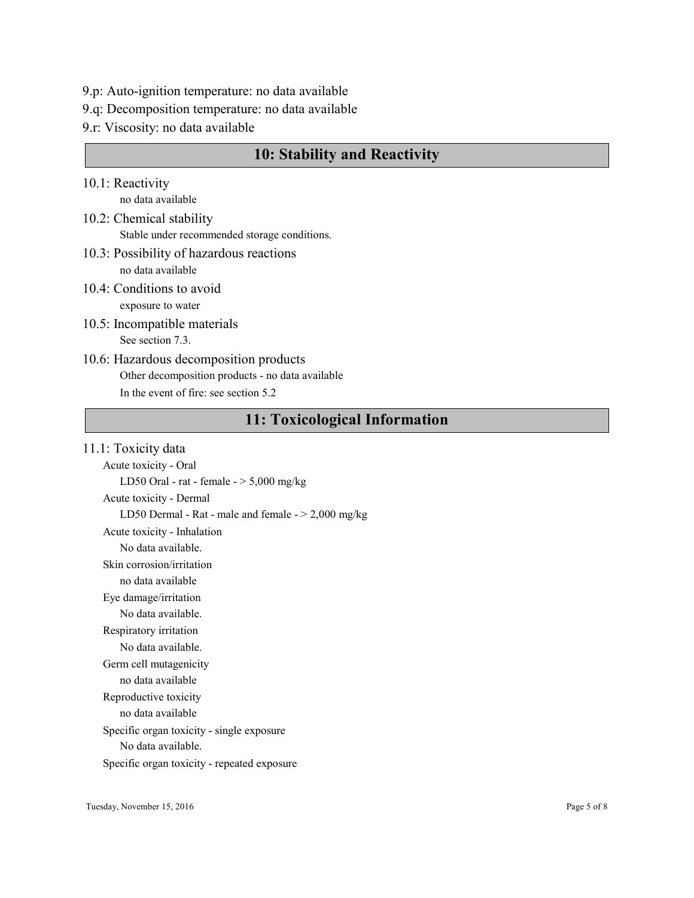- 9.p: Auto-ignition temperature: no data available
- 9.q: Decomposition temperature: no data available
- 9.r: Viscosity: no data available

## 10: Stability and Reactivity

- 10.1: Reactivity no data available
- 10.2: Chemical stability Stable under recommended storage conditions.
- 10.3: Possibility of hazardous reactions no data available
- 10.4: Conditions to avoid exposure to water
- 10.5: Incompatible materials See section 7.3.
- 10.6: Hazardous decomposition products Other decomposition products - no data available In the event of fire: see section 5.2

# 11: Toxicological Information

#### 11.1: Toxicity data

Acute toxicity - Oral LD50 Oral - rat - female  $-$  > 5,000 mg/kg Acute toxicity - Dermal LD50 Dermal - Rat - male and female  $-$  > 2,000 mg/kg Acute toxicity - Inhalation No data available. Skin corrosion/irritation no data available Eye damage/irritation No data available. Respiratory irritation No data available. Germ cell mutagenicity no data available Reproductive toxicity no data available Specific organ toxicity - single exposure No data available. Specific organ toxicity - repeated exposure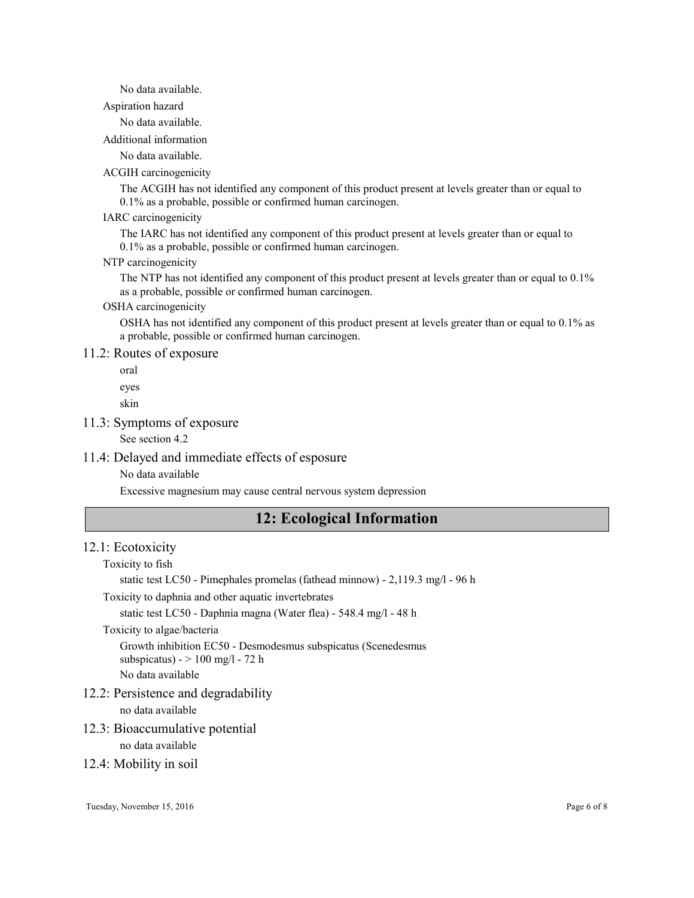#### No data available.

Aspiration hazard

No data available.

Additional information

No data available.

#### ACGIH carcinogenicity

The ACGIH has not identified any component of this product present at levels greater than or equal to 0.1% as a probable, possible or confirmed human carcinogen.

#### IARC carcinogenicity

The IARC has not identified any component of this product present at levels greater than or equal to 0.1% as a probable, possible or confirmed human carcinogen.

#### NTP carcinogenicity

The NTP has not identified any component of this product present at levels greater than or equal to 0.1% as a probable, possible or confirmed human carcinogen.

## OSHA carcinogenicity

OSHA has not identified any component of this product present at levels greater than or equal to 0.1% as a probable, possible or confirmed human carcinogen.

#### 11.2: Routes of exposure

oral

eyes

skin

#### 11.3: Symptoms of exposure

See section 4.2

## 11.4: Delayed and immediate effects of esposure

No data available

Excessive magnesium may cause central nervous system depression

## 12: Ecological Information

#### 12.1: Ecotoxicity

Toxicity to fish

static test LC50 - Pimephales promelas (fathead minnow) - 2,119.3 mg/l - 96 h

## Toxicity to daphnia and other aquatic invertebrates

static test LC50 - Daphnia magna (Water flea) - 548.4 mg/l - 48 h

## Toxicity to algae/bacteria

Growth inhibition EC50 - Desmodesmus subspicatus (Scenedesmus

subspicatus)  $>$  100 mg/l  $-$  72 h

No data available

#### 12.2: Persistence and degradability

no data available

#### 12.3: Bioaccumulative potential

no data available

#### 12.4: Mobility in soil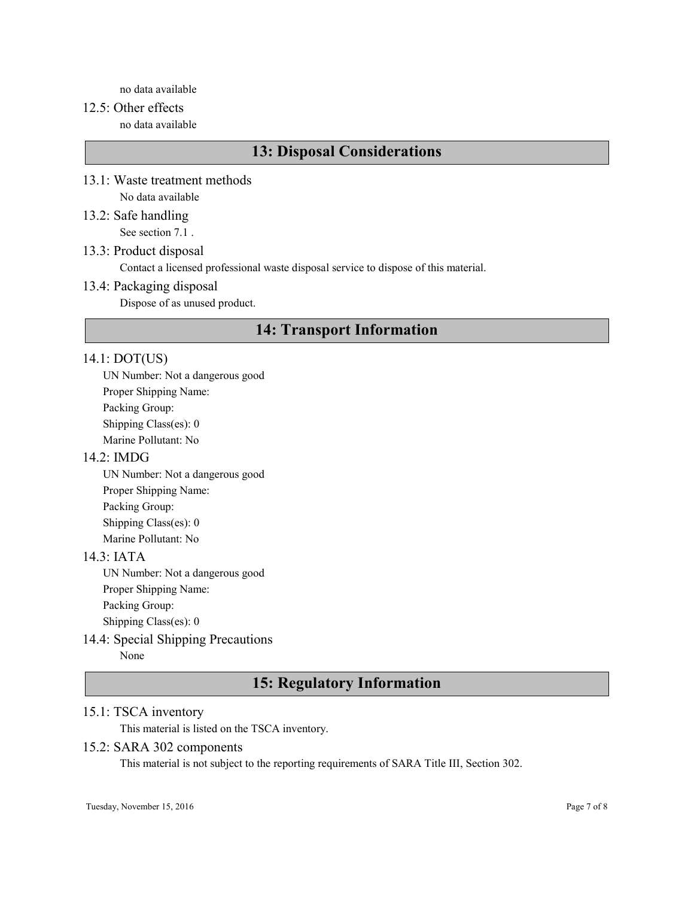no data available

# 12.5: Other effects

no data available

# 13: Disposal Considerations

- 13.1: Waste treatment methods No data available
- 13.2: Safe handling See section 7.1 .

## 13.3: Product disposal

Contact a licensed professional waste disposal service to dispose of this material.

## 13.4: Packaging disposal

Dispose of as unused product.

# 14: Transport Information

## 14.1: DOT(US)

UN Number: Not a dangerous good Proper Shipping Name: Packing Group: Shipping Class(es): 0 Marine Pollutant: No

## 14.2: IMDG

UN Number: Not a dangerous good Proper Shipping Name: Packing Group: Shipping Class(es): 0 Marine Pollutant: No

## 14.3: IATA

UN Number: Not a dangerous good Proper Shipping Name: Packing Group: Shipping Class(es): 0

## 14.4: Special Shipping Precautions

None

# 15: Regulatory Information

## 15.1: TSCA inventory

This material is listed on the TSCA inventory.

## 15.2: SARA 302 components

This material is not subject to the reporting requirements of SARA Title III, Section 302.